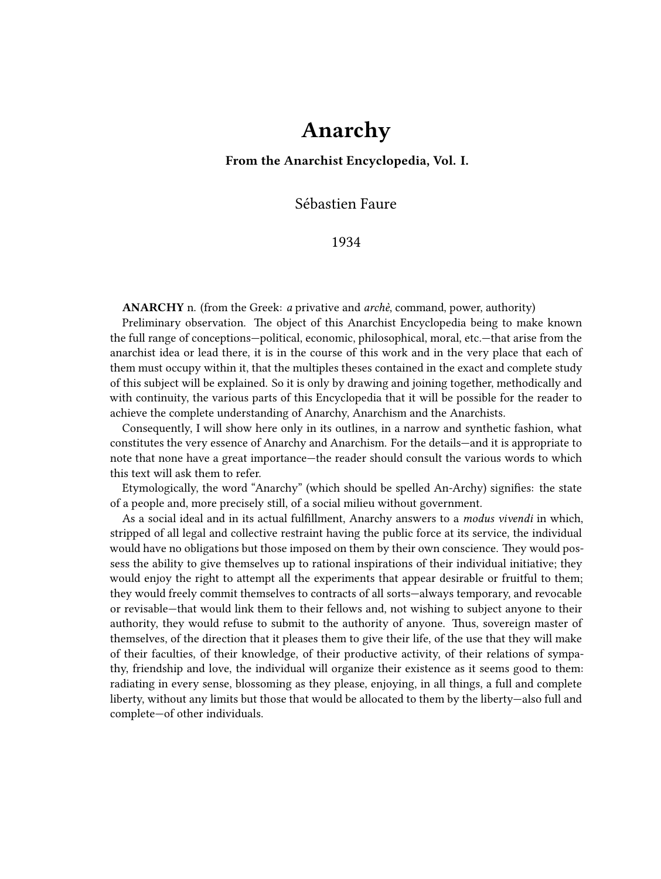## **Anarchy**

**From the Anarchist Encyclopedia, Vol. I.**

Sébastien Faure

1934

**ANARCHY** n. (from the Greek: *a* privative and *archè*, command, power, authority)

Preliminary observation. The object of this Anarchist Encyclopedia being to make known the full range of conceptions—political, economic, philosophical, moral, etc.—that arise from the anarchist idea or lead there, it is in the course of this work and in the very place that each of them must occupy within it, that the multiples theses contained in the exact and complete study of this subject will be explained. So it is only by drawing and joining together, methodically and with continuity, the various parts of this Encyclopedia that it will be possible for the reader to achieve the complete understanding of Anarchy, Anarchism and the Anarchists.

Consequently, I will show here only in its outlines, in a narrow and synthetic fashion, what constitutes the very essence of Anarchy and Anarchism. For the details—and it is appropriate to note that none have a great importance—the reader should consult the various words to which this text will ask them to refer.

Etymologically, the word "Anarchy" (which should be spelled An-Archy) signifies: the state of a people and, more precisely still, of a social milieu without government.

As a social ideal and in its actual fulfillment, Anarchy answers to a *modus vivendi* in which, stripped of all legal and collective restraint having the public force at its service, the individual would have no obligations but those imposed on them by their own conscience. They would possess the ability to give themselves up to rational inspirations of their individual initiative; they would enjoy the right to attempt all the experiments that appear desirable or fruitful to them; they would freely commit themselves to contracts of all sorts—always temporary, and revocable or revisable—that would link them to their fellows and, not wishing to subject anyone to their authority, they would refuse to submit to the authority of anyone. Thus, sovereign master of themselves, of the direction that it pleases them to give their life, of the use that they will make of their faculties, of their knowledge, of their productive activity, of their relations of sympathy, friendship and love, the individual will organize their existence as it seems good to them: radiating in every sense, blossoming as they please, enjoying, in all things, a full and complete liberty, without any limits but those that would be allocated to them by the liberty—also full and complete—of other individuals.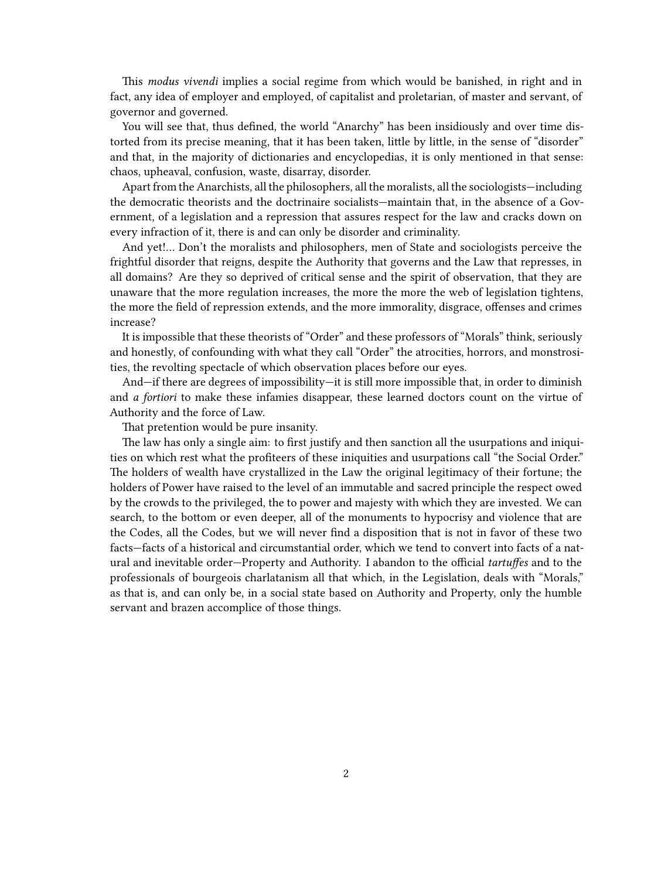This *modus vivendi* implies a social regime from which would be banished, in right and in fact, any idea of employer and employed, of capitalist and proletarian, of master and servant, of governor and governed.

You will see that, thus defined, the world "Anarchy" has been insidiously and over time distorted from its precise meaning, that it has been taken, little by little, in the sense of "disorder" and that, in the majority of dictionaries and encyclopedias, it is only mentioned in that sense: chaos, upheaval, confusion, waste, disarray, disorder.

Apart from the Anarchists, all the philosophers, all the moralists, all the sociologists—including the democratic theorists and the doctrinaire socialists—maintain that, in the absence of a Government, of a legislation and a repression that assures respect for the law and cracks down on every infraction of it, there is and can only be disorder and criminality.

And yet!… Don't the moralists and philosophers, men of State and sociologists perceive the frightful disorder that reigns, despite the Authority that governs and the Law that represses, in all domains? Are they so deprived of critical sense and the spirit of observation, that they are unaware that the more regulation increases, the more the more the web of legislation tightens, the more the field of repression extends, and the more immorality, disgrace, offenses and crimes increase?

It is impossible that these theorists of "Order" and these professors of "Morals" think, seriously and honestly, of confounding with what they call "Order" the atrocities, horrors, and monstrosities, the revolting spectacle of which observation places before our eyes.

And—if there are degrees of impossibility—it is still more impossible that, in order to diminish and *a fortiori* to make these infamies disappear, these learned doctors count on the virtue of Authority and the force of Law.

That pretention would be pure insanity.

The law has only a single aim: to first justify and then sanction all the usurpations and iniquities on which rest what the profiteers of these iniquities and usurpations call "the Social Order." The holders of wealth have crystallized in the Law the original legitimacy of their fortune; the holders of Power have raised to the level of an immutable and sacred principle the respect owed by the crowds to the privileged, the to power and majesty with which they are invested. We can search, to the bottom or even deeper, all of the monuments to hypocrisy and violence that are the Codes, all the Codes, but we will never find a disposition that is not in favor of these two facts—facts of a historical and circumstantial order, which we tend to convert into facts of a natural and inevitable order—Property and Authority. I abandon to the official *tartuffes* and to the professionals of bourgeois charlatanism all that which, in the Legislation, deals with "Morals," as that is, and can only be, in a social state based on Authority and Property, only the humble servant and brazen accomplice of those things.